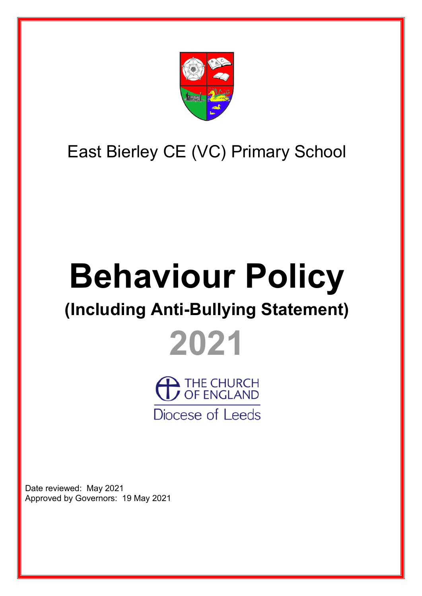

# East Bierley CE (VC) Primary School

# **Behaviour Policy**

## **(Including Anti-Bullying Statement)**



THE CHURCH Diocese of Leeds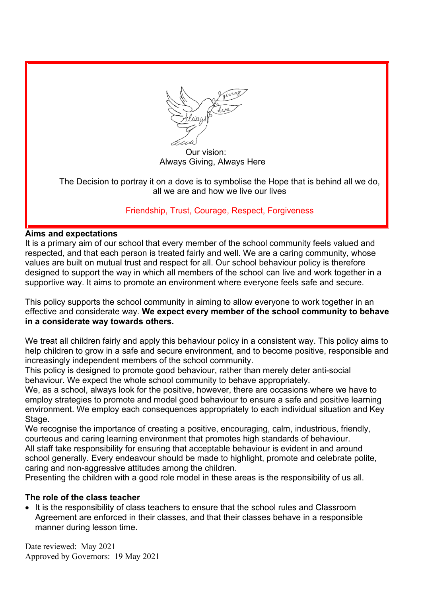

 Our vision: Always Giving, Always Here

The Decision to portray it on a dove is to symbolise the Hope that is behind all we do, all we are and how we live our lives

#### Friendship, Trust, Courage, Respect, Forgiveness

#### **Aims and expectations**

It is a primary aim of our school that every member of the school community feels valued and respected, and that each person is treated fairly and well. We are a caring community, whose values are built on mutual trust and respect for all. Our school behaviour policy is therefore designed to support the way in which all members of the school can live and work together in a supportive way. It aims to promote an environment where everyone feels safe and secure.

This policy supports the school community in aiming to allow everyone to work together in an effective and considerate way. **We expect every member of the school community to behave in a considerate way towards others.**

We treat all children fairly and apply this behaviour policy in a consistent way. This policy aims to help children to grow in a safe and secure environment, and to become positive, responsible and increasingly independent members of the school community.

This policy is designed to promote good behaviour, rather than merely deter anti-social behaviour. We expect the whole school community to behave appropriately.

We, as a school, always look for the positive, however, there are occasions where we have to employ strategies to promote and model good behaviour to ensure a safe and positive learning environment. We employ each consequences appropriately to each individual situation and Key Stage.

We recognise the importance of creating a positive, encouraging, calm, industrious, friendly, courteous and caring learning environment that promotes high standards of behaviour. All staff take responsibility for ensuring that acceptable behaviour is evident in and around school generally. Every endeavour should be made to highlight, promote and celebrate polite, caring and non-aggressive attitudes among the children.

Presenting the children with a good role model in these areas is the responsibility of us all.

#### **The role of the class teacher**

• It is the responsibility of class teachers to ensure that the school rules and Classroom Agreement are enforced in their classes, and that their classes behave in a responsible manner during lesson time.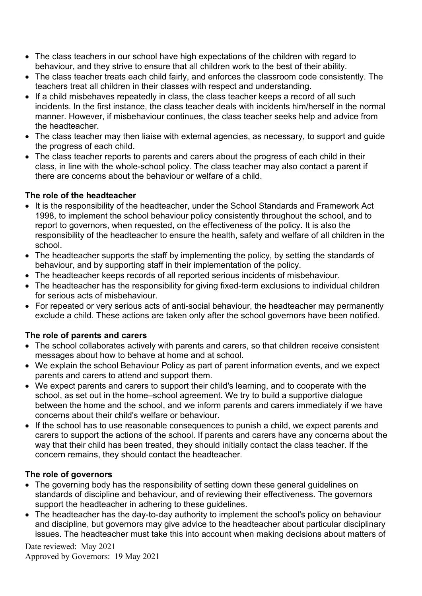- The class teachers in our school have high expectations of the children with regard to behaviour, and they strive to ensure that all children work to the best of their ability.
- The class teacher treats each child fairly, and enforces the classroom code consistently. The teachers treat all children in their classes with respect and understanding.
- If a child misbehaves repeatedly in class, the class teacher keeps a record of all such incidents. In the first instance, the class teacher deals with incidents him/herself in the normal manner. However, if misbehaviour continues, the class teacher seeks help and advice from the headteacher.
- The class teacher may then liaise with external agencies, as necessary, to support and guide the progress of each child.
- The class teacher reports to parents and carers about the progress of each child in their class, in line with the whole-school policy. The class teacher may also contact a parent if there are concerns about the behaviour or welfare of a child.

#### **The role of the headteacher**

- It is the responsibility of the headteacher, under the School Standards and Framework Act 1998, to implement the school behaviour policy consistently throughout the school, and to report to governors, when requested, on the effectiveness of the policy. It is also the responsibility of the headteacher to ensure the health, safety and welfare of all children in the school.
- The headteacher supports the staff by implementing the policy, by setting the standards of behaviour, and by supporting staff in their implementation of the policy.
- The headteacher keeps records of all reported serious incidents of misbehaviour.
- The headteacher has the responsibility for giving fixed-term exclusions to individual children for serious acts of misbehaviour.
- For repeated or very serious acts of anti-social behaviour, the headteacher may permanently exclude a child. These actions are taken only after the school governors have been notified.

#### **The role of parents and carers**

- The school collaborates actively with parents and carers, so that children receive consistent messages about how to behave at home and at school.
- We explain the school Behaviour Policy as part of parent information events, and we expect parents and carers to attend and support them.
- We expect parents and carers to support their child's learning, and to cooperate with the school, as set out in the home–school agreement. We try to build a supportive dialogue between the home and the school, and we inform parents and carers immediately if we have concerns about their child's welfare or behaviour.
- If the school has to use reasonable consequences to punish a child, we expect parents and carers to support the actions of the school. If parents and carers have any concerns about the way that their child has been treated, they should initially contact the class teacher. If the concern remains, they should contact the headteacher.

#### **The role of governors**

- The governing body has the responsibility of setting down these general guidelines on standards of discipline and behaviour, and of reviewing their effectiveness. The governors support the headteacher in adhering to these guidelines.
- The headteacher has the day-to-day authority to implement the school's policy on behaviour and discipline, but governors may give advice to the headteacher about particular disciplinary issues. The headteacher must take this into account when making decisions about matters of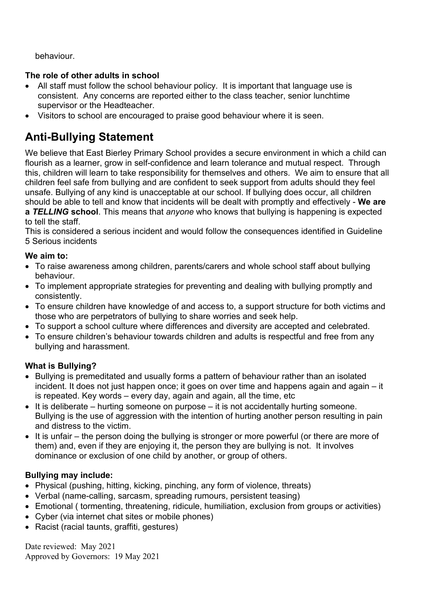behaviour.

#### **The role of other adults in school**

- All staff must follow the school behaviour policy. It is important that language use is consistent. Any concerns are reported either to the class teacher, senior lunchtime supervisor or the Headteacher.
- Visitors to school are encouraged to praise good behaviour where it is seen.

### **Anti-Bullying Statement**

We believe that East Bierley Primary School provides a secure environment in which a child can flourish as a learner, grow in self-confidence and learn tolerance and mutual respect. Through this, children will learn to take responsibility for themselves and others. We aim to ensure that all children feel safe from bullying and are confident to seek support from adults should they feel unsafe. Bullying of any kind is unacceptable at our school. If bullying does occur, all children should be able to tell and know that incidents will be dealt with promptly and effectively - **We are a** *TELLING* **school**. This means that *anyone* who knows that bullying is happening is expected

#### to tell the staff.

This is considered a serious incident and would follow the consequences identified in Guideline 5 Serious incidents

#### **We aim to:**

- To raise awareness among children, parents/carers and whole school staff about bullying behaviour.
- To implement appropriate strategies for preventing and dealing with bullying promptly and consistently.
- To ensure children have knowledge of and access to, a support structure for both victims and those who are perpetrators of bullying to share worries and seek help.
- To support a school culture where differences and diversity are accepted and celebrated.
- To ensure children's behaviour towards children and adults is respectful and free from any bullying and harassment.

#### **What is Bullying?**

- Bullying is premeditated and usually forms a pattern of behaviour rather than an isolated incident. It does not just happen once; it goes on over time and happens again and again – it is repeated. Key words – every day, again and again, all the time, etc
- It is deliberate hurting someone on purpose it is not accidentally hurting someone. Bullying is the use of aggression with the intention of hurting another person resulting in pain and distress to the victim.
- It is unfair the person doing the bullying is stronger or more powerful (or there are more of them) and, even if they are enjoying it, the person they are bullying is not. It involves dominance or exclusion of one child by another, or group of others.

#### **Bullying may include:**

- Physical (pushing, hitting, kicking, pinching, any form of violence, threats)
- Verbal (name-calling, sarcasm, spreading rumours, persistent teasing)
- Emotional ( tormenting, threatening, ridicule, humiliation, exclusion from groups or activities)
- Cyber (via internet chat sites or mobile phones)
- Racist (racial taunts, graffiti, gestures)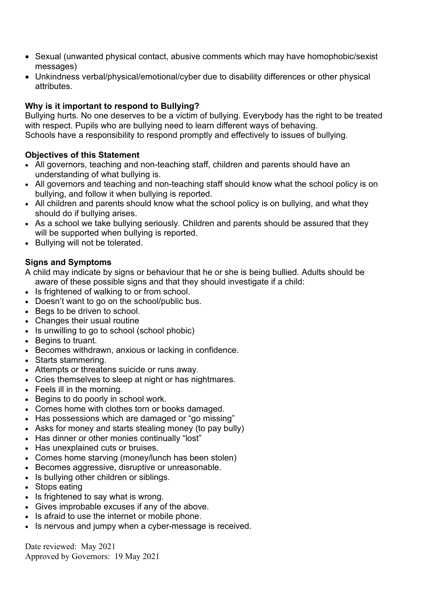- Sexual (unwanted physical contact, abusive comments which may have homophobic/sexist messages)
- Unkindness verbal/physical/emotional/cyber due to disability differences or other physical attributes.

#### **Why is it important to respond to Bullying?**

Bullying hurts. No one deserves to be a victim of bullying. Everybody has the right to be treated with respect. Pupils who are bullying need to learn different ways of behaving. Schools have a responsibility to respond promptly and effectively to issues of bullying.

#### **Objectives of this Statement**

- All governors, teaching and non-teaching staff, children and parents should have an understanding of what bullying is.
- All governors and teaching and non-teaching staff should know what the school policy is on bullying, and follow it when bullying is reported.
- All children and parents should know what the school policy is on bullying, and what they should do if bullying arises.
- As a school we take bullying seriously. Children and parents should be assured that they will be supported when bullying is reported.
- Bullying will not be tolerated.

#### **Signs and Symptoms**

A child may indicate by signs or behaviour that he or she is being bullied. Adults should be aware of these possible signs and that they should investigate if a child:

- Is frightened of walking to or from school.
- Doesn't want to go on the school/public bus.
- Begs to be driven to school.
- Changes their usual routine
- Is unwilling to go to school (school phobic)
- Begins to truant.
- Becomes withdrawn, anxious or lacking in confidence.
- Starts stammering.
- Attempts or threatens suicide or runs away.
- Cries themselves to sleep at night or has nightmares.
- Feels ill in the morning.
- Begins to do poorly in school work.
- Comes home with clothes torn or books damaged.
- Has possessions which are damaged or "go missing"
- Asks for money and starts stealing money (to pay bully)
- Has dinner or other monies continually "lost"
- Has unexplained cuts or bruises.
- Comes home starving (money/lunch has been stolen)
- Becomes aggressive, disruptive or unreasonable.
- Is bullying other children or siblings.
- Stops eating
- Is frightened to say what is wrong.
- Gives improbable excuses if any of the above.
- Is afraid to use the internet or mobile phone.
- Is nervous and jumpy when a cyber-message is received.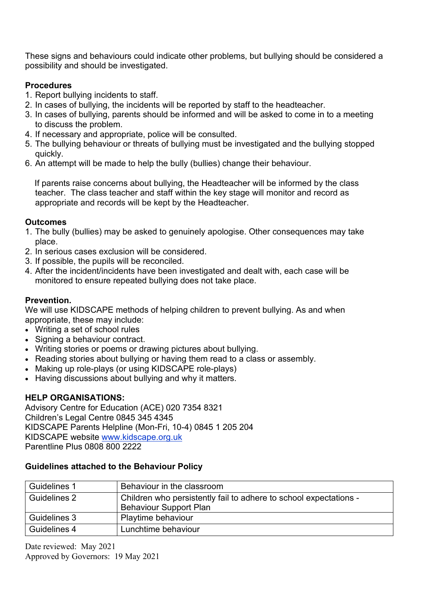These signs and behaviours could indicate other problems, but bullying should be considered a possibility and should be investigated.

#### **Procedures**

- 1. Report bullying incidents to staff.
- 2. In cases of bullying, the incidents will be reported by staff to the headteacher.
- 3. In cases of bullying, parents should be informed and will be asked to come in to a meeting to discuss the problem.
- 4. If necessary and appropriate, police will be consulted.
- 5. The bullying behaviour or threats of bullying must be investigated and the bullying stopped quickly.
- 6. An attempt will be made to help the bully (bullies) change their behaviour.

 If parents raise concerns about bullying, the Headteacher will be informed by the class teacher. The class teacher and staff within the key stage will monitor and record as appropriate and records will be kept by the Headteacher.

#### **Outcomes**

- 1. The bully (bullies) may be asked to genuinely apologise. Other consequences may take place.
- 2. In serious cases exclusion will be considered.
- 3. If possible, the pupils will be reconciled.
- 4. After the incident/incidents have been investigated and dealt with, each case will be monitored to ensure repeated bullying does not take place.

#### **Prevention.**

We will use KIDSCAPE methods of helping children to prevent bullying. As and when appropriate, these may include:

- Writing a set of school rules
- Signing a behaviour contract.
- Writing stories or poems or drawing pictures about bullying.
- Reading stories about bullying or having them read to a class or assembly.
- Making up role-plays (or using KIDSCAPE role-plays)
- Having discussions about bullying and why it matters.

#### **HELP ORGANISATIONS:**

Advisory Centre for Education (ACE) 020 7354 8321 Children's Legal Centre 0845 345 4345 KIDSCAPE Parents Helpline (Mon-Fri, 10-4) 0845 1 205 204 KIDSCAPE website [www.kidscape.org.uk](http://www.kidscape.org.uk/) Parentline Plus 0808 800 2222

#### **Guidelines attached to the Behaviour Policy**

| Guidelines 1 | Behaviour in the classroom                                                                         |
|--------------|----------------------------------------------------------------------------------------------------|
| Guidelines 2 | Children who persistently fail to adhere to school expectations -<br><b>Behaviour Support Plan</b> |
| Guidelines 3 | Playtime behaviour                                                                                 |
| Guidelines 4 | Lunchtime behaviour                                                                                |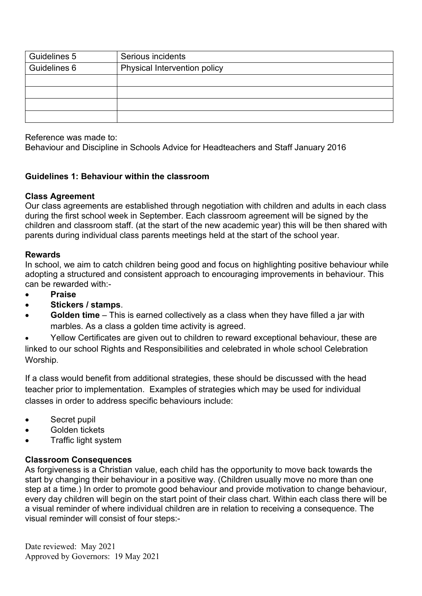| Guidelines 5 | Serious incidents                   |
|--------------|-------------------------------------|
| Guidelines 6 | <b>Physical Intervention policy</b> |
|              |                                     |
|              |                                     |
|              |                                     |
|              |                                     |

Reference was made to:

Behaviour and Discipline in Schools Advice for Headteachers and Staff January 2016

#### **Guidelines 1: Behaviour within the classroom**

#### **Class Agreement**

Our class agreements are established through negotiation with children and adults in each class during the first school week in September. Each classroom agreement will be signed by the children and classroom staff. (at the start of the new academic year) this will be then shared with parents during individual class parents meetings held at the start of the school year.

#### **Rewards**

In school, we aim to catch children being good and focus on highlighting positive behaviour while adopting a structured and consistent approach to encouraging improvements in behaviour. This can be rewarded with:-

- **Praise**
- **Stickers / stamps**.
- **Golden time**  This is earned collectively as a class when they have filled a jar with marbles. As a class a golden time activity is agreed.

• Yellow Certificates are given out to children to reward exceptional behaviour, these are linked to our school Rights and Responsibilities and celebrated in whole school Celebration Worship.

If a class would benefit from additional strategies, these should be discussed with the head teacher prior to implementation. Examples of strategies which may be used for individual classes in order to address specific behaviours include:

- Secret pupil
- Golden tickets
- Traffic light system

#### **Classroom Consequences**

As forgiveness is a Christian value, each child has the opportunity to move back towards the start by changing their behaviour in a positive way. (Children usually move no more than one step at a time.) In order to promote good behaviour and provide motivation to change behaviour, every day children will begin on the start point of their class chart. Within each class there will be a visual reminder of where individual children are in relation to receiving a consequence. The visual reminder will consist of four steps:-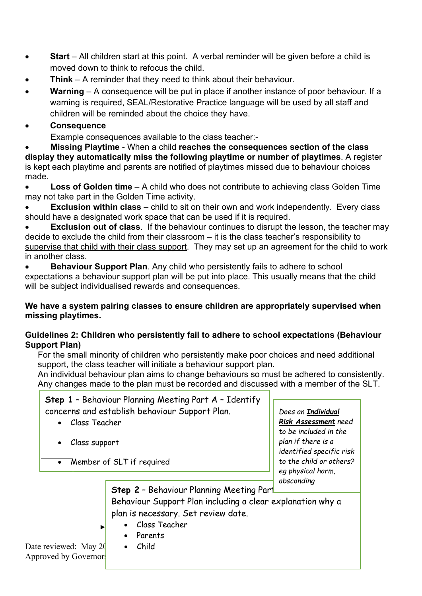- **Start** All children start at this point. A verbal reminder will be given before a child is moved down to think to refocus the child.
- **Think**  A reminder that they need to think about their behaviour.
- **Warning** A consequence will be put in place if another instance of poor behaviour. If a warning is required, SEAL/Restorative Practice language will be used by all staff and children will be reminded about the choice they have.
- **Consequence**

Example consequences available to the class teacher:-

• **Missing Playtime** - When a child **reaches the consequences section of the class display they automatically miss the following playtime or number of playtimes**. A register is kept each playtime and parents are notified of playtimes missed due to behaviour choices made.

**Loss of Golden time** – A child who does not contribute to achieving class Golden Time may not take part in the Golden Time activity.

**Exclusion within class** – child to sit on their own and work independently. Every class should have a designated work space that can be used if it is required.

**Exclusion out of class**. If the behaviour continues to disrupt the lesson, the teacher may decide to exclude the child from their classroom – it is the class teacher's responsibility to supervise that child with their class support. They may set up an agreement for the child to work in another class.

• **Behaviour Support Plan**. Any child who persistently fails to adhere to school expectations a behaviour support plan will be put into place. This usually means that the child will be subject individualised rewards and consequences.

#### **We have a system pairing classes to ensure children are appropriately supervised when missing playtimes.**

#### **Guidelines 2: Children who persistently fail to adhere to school expectations (Behaviour Support Plan)**

For the small minority of children who persistently make poor choices and need additional support, the class teacher will initiate a behaviour support plan.

An individual behaviour plan aims to change behaviours so must be adhered to consistently. Any changes made to the plan must be recorded and discussed with a member of the SLT.

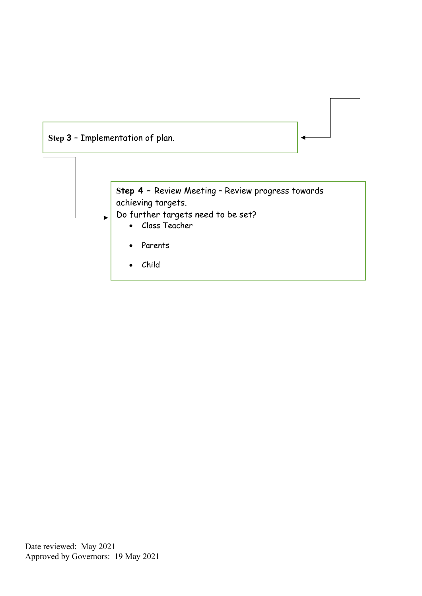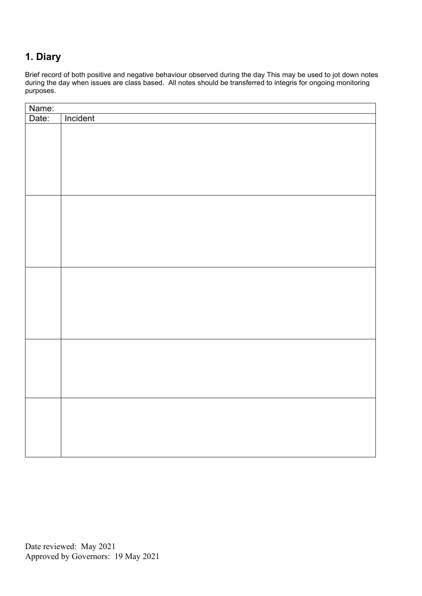#### **1. Diary**

Brief record of both positive and negative behaviour observed during the day This may be used to jot down notes during the day when issues are class based. All notes should be transferred to integris for ongoing monitoring purposes.

| Name: |          |  |  |
|-------|----------|--|--|
| Date: | Incident |  |  |
|       |          |  |  |
|       |          |  |  |
|       |          |  |  |
|       |          |  |  |
|       |          |  |  |
|       |          |  |  |
|       |          |  |  |
|       |          |  |  |
|       |          |  |  |
|       |          |  |  |
|       |          |  |  |
|       |          |  |  |
|       |          |  |  |
|       |          |  |  |
|       |          |  |  |
|       |          |  |  |
|       |          |  |  |
|       |          |  |  |
|       |          |  |  |
|       |          |  |  |
|       |          |  |  |
|       |          |  |  |
|       |          |  |  |
|       |          |  |  |
|       |          |  |  |
|       |          |  |  |
|       |          |  |  |
|       |          |  |  |
|       |          |  |  |
|       |          |  |  |
|       |          |  |  |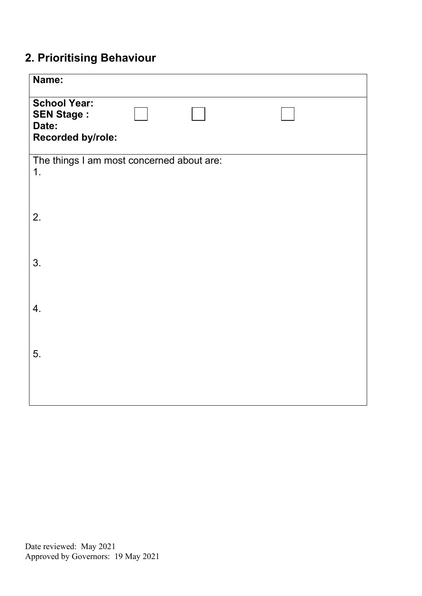## **2. Prioritising Behaviour**

| Name:                                                                  |  |
|------------------------------------------------------------------------|--|
| <b>School Year:</b><br><b>SEN Stage:</b><br>Date:<br>Recorded by/role: |  |
| The things I am most concerned about are:<br>1.                        |  |
| 2.                                                                     |  |
| 3.                                                                     |  |
| 4.                                                                     |  |
| 5.                                                                     |  |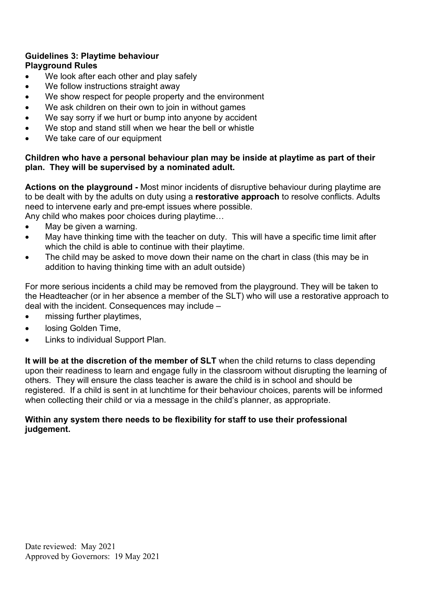#### **Guidelines 3: Playtime behaviour Playground Rules**

- We look after each other and play safely
- We follow instructions straight away
- We show respect for people property and the environment
- We ask children on their own to join in without games
- We say sorry if we hurt or bump into anyone by accident
- We stop and stand still when we hear the bell or whistle
- We take care of our equipment

#### **Children who have a personal behaviour plan may be inside at playtime as part of their plan. They will be supervised by a nominated adult.**

**Actions on the playground -** Most minor incidents of disruptive behaviour during playtime are to be dealt with by the adults on duty using a **restorative approach** to resolve conflicts. Adults need to intervene early and pre-empt issues where possible.

Any child who makes poor choices during playtime…

- May be given a warning.
- May have thinking time with the teacher on duty. This will have a specific time limit after which the child is able to continue with their playtime.
- The child may be asked to move down their name on the chart in class (this may be in addition to having thinking time with an adult outside)

For more serious incidents a child may be removed from the playground. They will be taken to the Headteacher (or in her absence a member of the SLT) who will use a restorative approach to deal with the incident. Consequences may include –

- missing further playtimes,
- losing Golden Time,
- Links to individual Support Plan.

**It will be at the discretion of the member of SLT** when the child returns to class depending upon their readiness to learn and engage fully in the classroom without disrupting the learning of others. They will ensure the class teacher is aware the child is in school and should be registered. If a child is sent in at lunchtime for their behaviour choices, parents will be informed when collecting their child or via a message in the child's planner, as appropriate.

#### **Within any system there needs to be flexibility for staff to use their professional judgement.**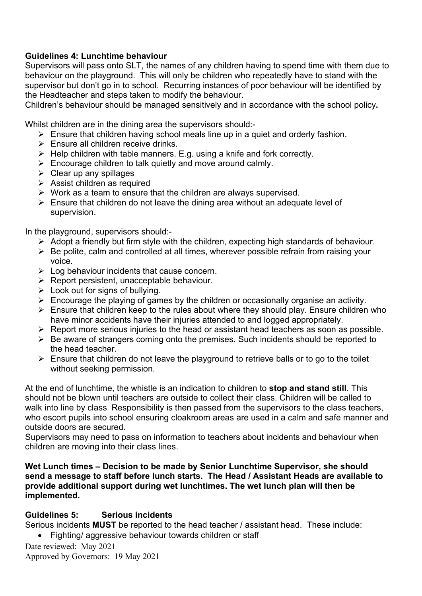#### **Guidelines 4: Lunchtime behaviour**

Supervisors will pass onto SLT, the names of any children having to spend time with them due to behaviour on the playground. This will only be children who repeatedly have to stand with the supervisor but don't go in to school. Recurring instances of poor behaviour will be identified by the Headteacher and steps taken to modify the behaviour.

Children's behaviour should be managed sensitively and in accordance with the school policy**.** 

Whilst children are in the dining area the supervisors should:-

- $\triangleright$  Ensure that children having school meals line up in a quiet and orderly fashion.
- $\triangleright$  Ensure all children receive drinks.
- $\triangleright$  Help children with table manners. E.g. using a knife and fork correctly.
- $\triangleright$  Encourage children to talk quietly and move around calmly.
- $\triangleright$  Clear up any spillages
- $\triangleright$  Assist children as required
- $\triangleright$  Work as a team to ensure that the children are always supervised.
- $\triangleright$  Ensure that children do not leave the dining area without an adequate level of supervision.

In the playground, supervisors should:-

- $\triangleright$  Adopt a friendly but firm style with the children, expecting high standards of behaviour.
- $\triangleright$  Be polite, calm and controlled at all times, wherever possible refrain from raising your voice.
- $\triangleright$  Log behaviour incidents that cause concern.
- $\triangleright$  Report persistent, unacceptable behaviour.
- $\triangleright$  Look out for signs of bullying.
- $\triangleright$  Encourage the playing of games by the children or occasionally organise an activity.
- $\triangleright$  Ensure that children keep to the rules about where they should play. Ensure children who have minor accidents have their injuries attended to and logged appropriately.
- $\triangleright$  Report more serious injuries to the head or assistant head teachers as soon as possible.
- $\triangleright$  Be aware of strangers coming onto the premises. Such incidents should be reported to the head teacher.
- $\triangleright$  Ensure that children do not leave the playground to retrieve balls or to go to the toilet without seeking permission.

At the end of lunchtime, the whistle is an indication to children to **stop and stand still**. This should not be blown until teachers are outside to collect their class. Children will be called to walk into line by class Responsibility is then passed from the supervisors to the class teachers, who escort pupils into school ensuring cloakroom areas are used in a calm and safe manner and outside doors are secured.

Supervisors may need to pass on information to teachers about incidents and behaviour when children are moving into their class lines.

**Wet Lunch times – Decision to be made by Senior Lunchtime Supervisor, she should send a message to staff before lunch starts. The Head / Assistant Heads are available to provide additional support during wet lunchtimes. The wet lunch plan will then be implemented.**

#### **Guidelines 5: Serious incidents**

Serious incidents **MUST** be reported to the head teacher / assistant head. These include: • Fighting/ aggressive behaviour towards children or staff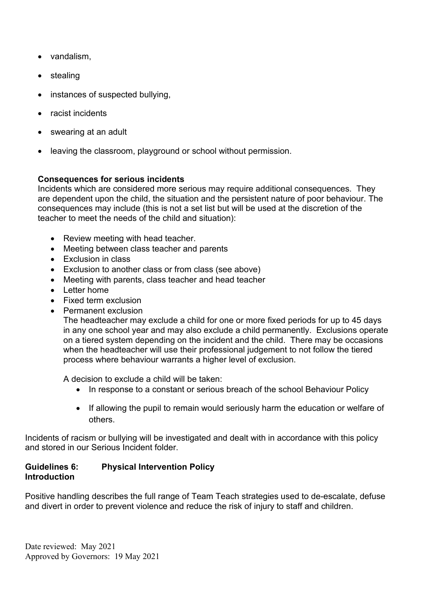- vandalism,
- stealing
- instances of suspected bullying,
- racist incidents
- swearing at an adult
- leaving the classroom, playground or school without permission.

#### **Consequences for serious incidents**

Incidents which are considered more serious may require additional consequences. They are dependent upon the child, the situation and the persistent nature of poor behaviour. The consequences may include (this is not a set list but will be used at the discretion of the teacher to meet the needs of the child and situation):

- Review meeting with head teacher.
- Meeting between class teacher and parents
- Exclusion in class
- Exclusion to another class or from class (see above)
- Meeting with parents, class teacher and head teacher
- Letter home
- Fixed term exclusion
- Permanent exclusion

The headteacher may exclude a child for one or more fixed periods for up to 45 days in any one school year and may also exclude a child permanently. Exclusions operate on a tiered system depending on the incident and the child. There may be occasions when the headteacher will use their professional judgement to not follow the tiered process where behaviour warrants a higher level of exclusion.

A decision to exclude a child will be taken:

- In response to a constant or serious breach of the school Behaviour Policy
- If allowing the pupil to remain would seriously harm the education or welfare of others.

Incidents of racism or bullying will be investigated and dealt with in accordance with this policy and stored in our Serious Incident folder.

#### **Guidelines 6: Physical Intervention Policy Introduction**

Positive handling describes the full range of Team Teach strategies used to de-escalate, defuse and divert in order to prevent violence and reduce the risk of injury to staff and children.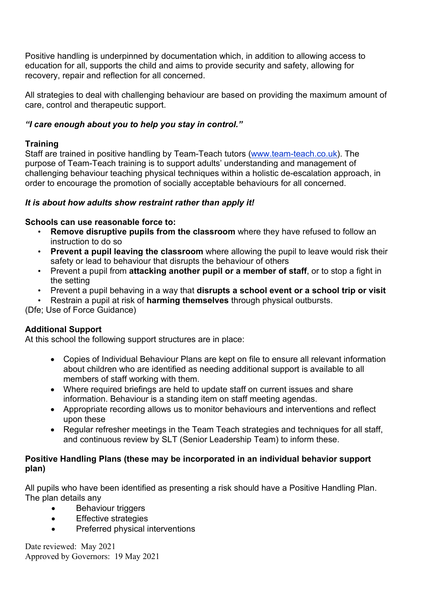Positive handling is underpinned by documentation which, in addition to allowing access to education for all, supports the child and aims to provide security and safety, allowing for recovery, repair and reflection for all concerned.

All strategies to deal with challenging behaviour are based on providing the maximum amount of care, control and therapeutic support.

#### *"I care enough about you to help you stay in control."*

#### **Training**

Staff are trained in positive handling by Team-Teach tutors [\(www.team-teach.co.uk\)](http://www.team-teach.co.uk/). The purpose of Team-Teach training is to support adults' understanding and management of challenging behaviour teaching physical techniques within a holistic de-escalation approach, in order to encourage the promotion of socially acceptable behaviours for all concerned.

#### *It is about how adults show restraint rather than apply it!*

#### **Schools can use reasonable force to:**

- **Remove disruptive pupils from the classroom** where they have refused to follow an instruction to do so
- **Prevent a pupil leaving the classroom** where allowing the pupil to leave would risk their safety or lead to behaviour that disrupts the behaviour of others
- Prevent a pupil from **attacking another pupil or a member of staff**, or to stop a fight in the setting
- Prevent a pupil behaving in a way that **disrupts a school event or a school trip or visit**
- Restrain a pupil at risk of **harming themselves** through physical outbursts.

(Dfe; Use of Force Guidance)

#### **Additional Support**

At this school the following support structures are in place:

- Copies of Individual Behaviour Plans are kept on file to ensure all relevant information about children who are identified as needing additional support is available to all members of staff working with them.
- Where required briefings are held to update staff on current issues and share information. Behaviour is a standing item on staff meeting agendas.
- Appropriate recording allows us to monitor behaviours and interventions and reflect upon these
- Regular refresher meetings in the Team Teach strategies and techniques for all staff, and continuous review by SLT (Senior Leadership Team) to inform these.

#### **Positive Handling Plans (these may be incorporated in an individual behavior support plan)**

All pupils who have been identified as presenting a risk should have a Positive Handling Plan. The plan details any

- **Behaviour triggers**
- Effective strategies
- Preferred physical interventions